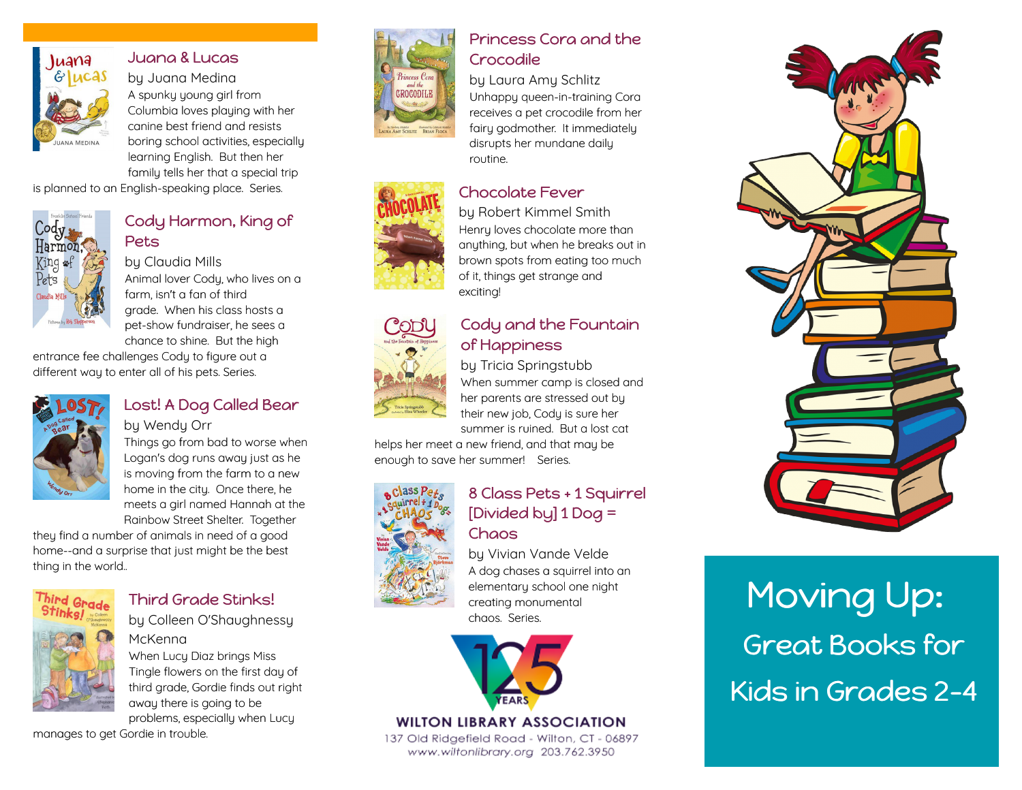

# [Juana & Lucas](https://libraryaware.com/26NDXD)

by Juana Medina A spunky young girl from Columbia loves playing with her canine best friend and resists boring school activities, especially learning English. But then her family tells her that a special trip

is planned to an English-speaking place. Series.



#### [Cody Harmon, King of](https://libraryaware.com/26NDXE) [Pets](https://libraryaware.com/26NDXE)

by Claudia Mills Animal lover Cody, who lives on a farm, isn't a fan of third grade. When his class hosts a pet-show fundraiser, he sees a chance to shine. But the high

entrance fee challenges Cody to figure out a different way to enter all of his pets. Series.



#### [Lost! A Dog Called Bear](https://libraryaware.com/26NDXF) by Wendy Orr

Things go from bad to worse when Logan's dog runs away just as he is moving from the farm to a new home in the city. Once there, he meets a girl named Hannah at the Rainbow Street Shelter. Together

they find a number of animals in need of a good home--and a surprise that just might be the best thing in the world..



# [Third Grade Stinks!](https://libraryaware.com/26NDXG)

by Colleen O'Shaughnessy

McKenna When Lucy Diaz brings Miss Tingle flowers on the first day of third grade, Gordie finds out right away there is going to be problems, especially when Lucy

manages to get Gordie in trouble.



# [Princess Cora and the](https://libraryaware.com/26NDX9) [Crocodile](https://libraryaware.com/26NDX9)

#### by Laura Amy Schlitz

Unhappy queen-in-training Cora receives a pet crocodile from her fairy godmother. It immediately disrupts her mundane daily routine.

### [Chocolate Fever](https://libraryaware.com/26NDXA)

by Robert Kimmel Smith Henry loves chocolate more than anything, but when he breaks out in brown spots from eating too much of it, things get strange and exciting!

# [Cody and the Fountain](https://libraryaware.com/26NDXB) [of Happiness](https://libraryaware.com/26NDXB)

by Tricia Springstubb When summer camp is closed and her parents are stressed out by their new job, Cody is sure her summer is ruined. But a lost cat

helps her meet a new friend, and that may be enough to save her summer! Series.



# [8 Class Pets + 1 Squirrel](https://libraryaware.com/26NDXC) [\[Divided by\] 1 Dog =](https://libraryaware.com/26NDXC) [Chaos](https://libraryaware.com/26NDXC)

by Vivian Vande Velde A dog chases a squirrel into an elementary school one night creating monumental chaos. Series.



#### **WILTON LIBRARY ASSOCIATION**

137 Old Ridgefield Road - Wilton, CT - 06897 www.wiltonlibrary.org 203.762.3950



# Moving Up: Great Books for Kids in Grades 2-4